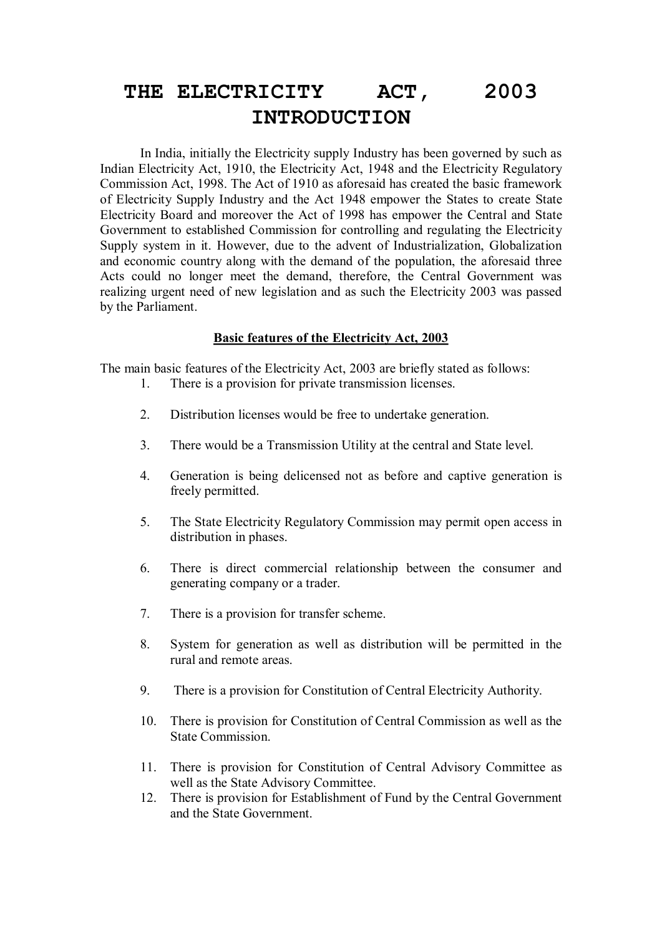## **ACT. THE ELECTRICITY ACT, 2003 INTRODUCTION**

 In India, initially the Electricity supply Industry has been governed by such as Indian Electricity Act, 1910, the Electricity Act, 1948 and the Electricity Regulatory Commission Act, 1998. The Act of 1910 as aforesaid has created the basic framework of Electricity Supply Industry and the Act 1948 empower the States to create State Electricity Board and moreover the Act of 1998 has empower the Central and State Government to established Commission for controlling and regulating the Electricity Supply system in it. However, due to the advent of Industrialization, Globalization and economic country along with the demand of the population, the aforesaid three Acts could no longer meet the demand, therefore, the Central Government was realizing urgent need of new legislation and as such the Electricity 2003 was passed by the Parliament.

## **Basic features of the Electricity Act, 2003**

The main basic features of the Electricity Act, 2003 are briefly stated as follows:

- 1. There is a provision for private transmission licenses.
- 2. Distribution licenses would be free to undertake generation.
- 3. There would be a Transmission Utility at the central and State level.
- 4. Generation is being delicensed not as before and captive generation is freely permitted.
- 5. The State Electricity Regulatory Commission may permit open access in distribution in phases.
- 6. There is direct commercial relationship between the consumer and generating company or a trader.
- 7. There is a provision for transfer scheme.
- 8. System for generation as well as distribution will be permitted in the rural and remote areas.
- 9. There is a provision for Constitution of Central Electricity Authority.
- 10. There is provision for Constitution of Central Commission as well as the State Commission.
- 11. There is provision for Constitution of Central Advisory Committee as well as the State Advisory Committee.
- 12. There is provision for Establishment of Fund by the Central Government and the State Government.